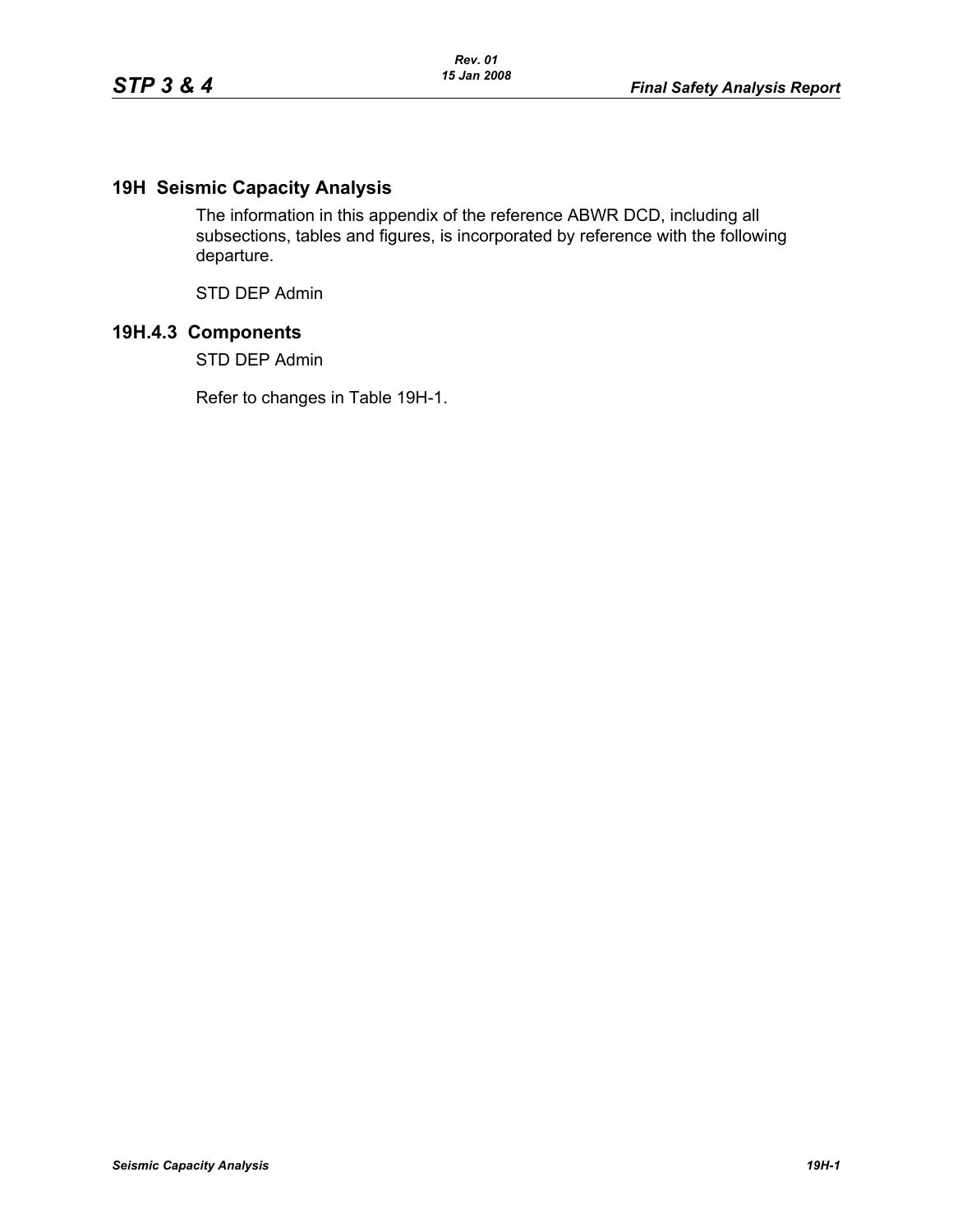## **19H Seismic Capacity Analysis**

The information in this appendix of the reference ABWR DCD, including all subsections, tables and figures, is incorporated by reference with the following departure.

STD DEP Admin

## **19H.4.3 Components**

STD DEP Admin

Refer to changes in Table 19H-1.